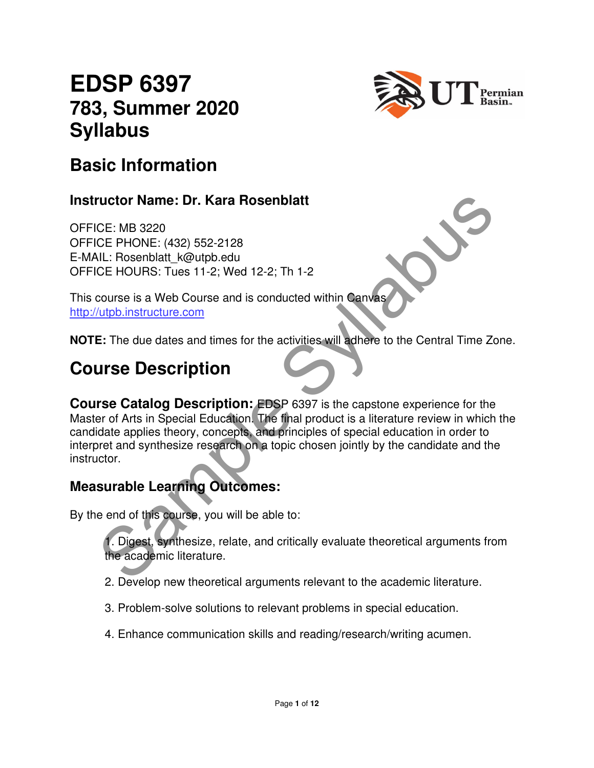# **EDSP 6397 783, Summer 2020 Syllabus**



### **Basic Information**

#### **Instructor Name: Dr. Kara Rosenblatt**

OFFICE: MB 3220 OFFICE PHONE: (432) 552-2128 E-MAIL: Rosenblatt\_k@utpb.edu OFFICE HOURS: Tues 11-2; Wed 12-2; Th 1-2

This course is a Web Course and is conducted within Canvas http://utpb.instructure.com

**NOTE:** The due dates and times for the activities will adhere to the Central Time Zone.

# **Course Description**

The Sample Syllaburg Control of the accelering the syllaburg of the syllaburg CE PHONE: (432) 552-2128<br>
CE PHONE: (432) 552-2128<br>
CE PHONE: (432) 552-2128<br>
CE HOURS: Tues 11-2; Wed 12-2; Th 1-2<br>
course is a Web Course and **Course Catalog Description:** EDSP 6397 is the capstone experience for the Master of Arts in Special Education. The final product is a literature review in which the candidate applies theory, concepts, and principles of special education in order to interpret and synthesize research on a topic chosen jointly by the candidate and the instructor.

#### **Measurable Learning Outcomes:**

By the end of this course, you will be able to:

1. Digest, synthesize, relate, and critically evaluate theoretical arguments from the academic literature.

- 2. Develop new theoretical arguments relevant to the academic literature.
- 3. Problem-solve solutions to relevant problems in special education.
- 4. Enhance communication skills and reading/research/writing acumen.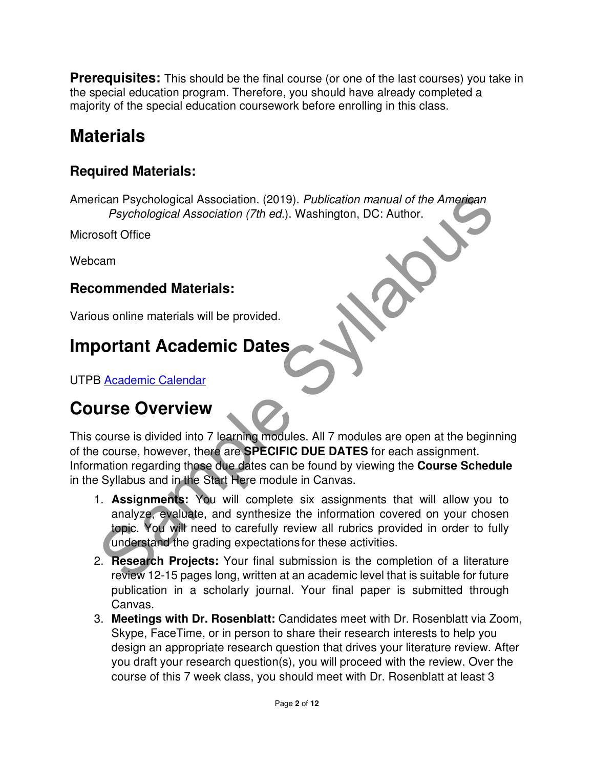**Prerequisites:** This should be the final course (or one of the last courses) you take in the special education program. Therefore, you should have already completed a majority of the special education coursework before enrolling in this class.

# **Materials**

#### **Required Materials:**

American Psychological Association. (2019). Publication manual of the American Psychological Association (7th ed.). Washington, DC: Author.

Microsoft Office

Webcam

#### **Recommended Materials:**

Various online materials will be provided.

# **Important Academic Dates**

UTPB Academic Calendar

# **Course Overview**

This course is divided into 7 learning modules. All 7 modules are open at the beginning of the course, however, there are **SPECIFIC DUE DATES** for each assignment. Information regarding those due dates can be found by viewing the **Course Schedule** in the Syllabus and in the Start Here module in Canvas.

- The Proposition Sychological Association (2019). Publication manual of the American<br>
Psychological Association (7th ed.). Washington, DC: Author.<br>
Solid Office<br>
Solid Office<br>
Sample materials will be provided.<br>
Sample mate 1. **Assignments:** You will complete six assignments that will allow you to analyze, evaluate, and synthesize the information covered on your chosen topic. You will need to carefully review all rubrics provided in order to fully understand the grading expectations for these activities.
- 2. **Research Projects:** Your final submission is the completion of a literature review 12-15 pages long, written at an academic level that is suitable for future publication in a scholarly journal. Your final paper is submitted through Canvas.
- 3. **Meetings with Dr. Rosenblatt:** Candidates meet with Dr. Rosenblatt via Zoom, Skype, FaceTime, or in person to share their research interests to help you design an appropriate research question that drives your literature review. After you draft your research question(s), you will proceed with the review. Over the course of this 7 week class, you should meet with Dr. Rosenblatt at least 3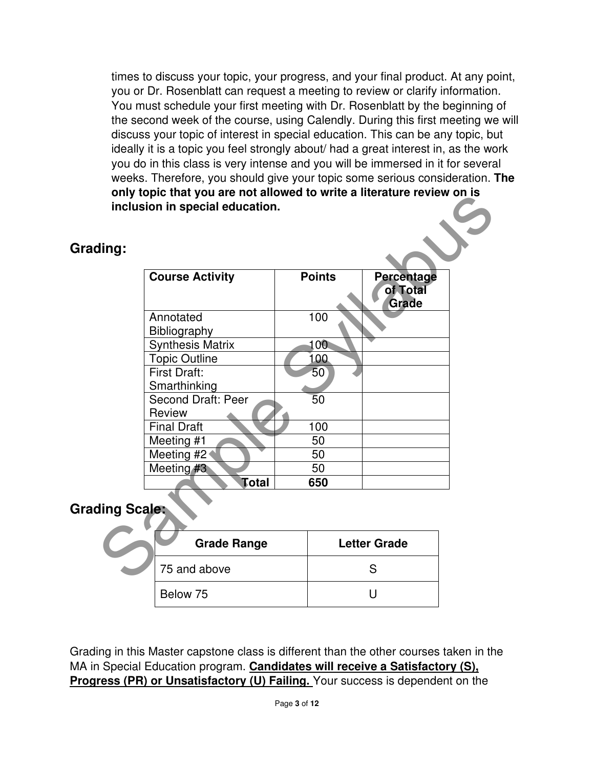times to discuss your topic, your progress, and your final product. At any point, you or Dr. Rosenblatt can request a meeting to review or clarify information. You must schedule your first meeting with Dr. Rosenblatt by the beginning of the second week of the course, using Calendly. During this first meeting we will discuss your topic of interest in special education. This can be any topic, but ideally it is a topic you feel strongly about/ had a great interest in, as the work you do in this class is very intense and you will be immersed in it for several weeks. Therefore, you should give your topic some serious consideration. **The only topic that you are not allowed to write a literature review on is inclusion in special education.**

#### **Grading:**

| <b>Course Activity</b>              | <b>Points</b>   | <b>Percentage</b><br>of Total<br>Grade |  |
|-------------------------------------|-----------------|----------------------------------------|--|
| Annotated<br><b>Bibliography</b>    | 100             |                                        |  |
| <b>Synthesis Matrix</b>             | 100             |                                        |  |
| <b>Topic Outline</b>                | 100             |                                        |  |
| First Draft:<br>Smarthinking        | 50 <sup>°</sup> |                                        |  |
| <b>Second Draft: Peer</b><br>Review | $\overline{5}0$ |                                        |  |
| Final Draft                         | 100             |                                        |  |
| Meeting #1                          | 50              |                                        |  |
| Meeting #2                          | 50              |                                        |  |
| Meeting #3                          | 50              |                                        |  |
| Total                               | 650             |                                        |  |
| ding Scale:                         |                 |                                        |  |
| <b>Grade Range</b>                  |                 | <b>Letter Grade</b>                    |  |
| 75 and above                        |                 | S                                      |  |

#### **Grading Scale:**

| <b>Grade Range</b> | <b>Letter Grade</b> |
|--------------------|---------------------|
| 75 and above       |                     |
| Below 75           |                     |

Grading in this Master capstone class is different than the other courses taken in the MA in Special Education program. **Candidates will receive a Satisfactory (S), Progress (PR) or Unsatisfactory (U) Failing.** Your success is dependent on the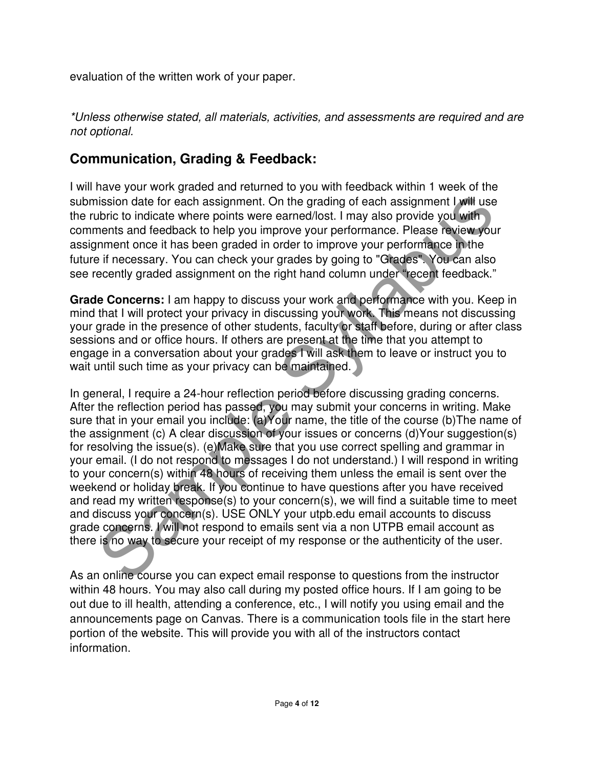evaluation of the written work of your paper.

\*Unless otherwise stated, all materials, activities, and assessments are required and are not optional.

#### **Communication, Grading & Feedback:**

I will have your work graded and returned to you with feedback within 1 week of the submission date for each assignment. On the grading of each assignment I will use the rubric to indicate where points were earned/lost. I may also provide you with comments and feedback to help you improve your performance. Please review your assignment once it has been graded in order to improve your performance in the future if necessary. You can check your grades by going to "Grades". You can also see recently graded assignment on the right hand column under "recent feedback."

**Grade Concerns:** I am happy to discuss your work and performance with you. Keep in mind that I will protect your privacy in discussing your work. This means not discussing your grade in the presence of other students, faculty or staff before, during or after class sessions and or office hours. If others are present at the time that you attempt to engage in a conversation about your grades I will ask them to leave or instruct you to wait until such time as your privacy can be maintained.

ission date for each assignment. On the grading of each assignment J will use<br>bitric to indicate where points were earmed/lost. I may also provide you with<br>ments and feedback to help you improve your performance. Please re In general, I require a 24-hour reflection period before discussing grading concerns. After the reflection period has passed, you may submit your concerns in writing. Make sure that in your email you include: (a)Your name, the title of the course (b)The name of the assignment (c) A clear discussion of your issues or concerns (d)Your suggestion(s) for resolving the issue(s). (e)Make sure that you use correct spelling and grammar in your email. (I do not respond to messages I do not understand.) I will respond in writing to your concern(s) within 48 hours of receiving them unless the email is sent over the weekend or holiday break. If you continue to have questions after you have received and read my written response(s) to your concern(s), we will find a suitable time to meet and discuss your concern(s). USE ONLY your utpb.edu email accounts to discuss grade concerns. I will not respond to emails sent via a non UTPB email account as there is no way to secure your receipt of my response or the authenticity of the user.

As an online course you can expect email response to questions from the instructor within 48 hours. You may also call during my posted office hours. If I am going to be out due to ill health, attending a conference, etc., I will notify you using email and the announcements page on Canvas. There is a communication tools file in the start here portion of the website. This will provide you with all of the instructors contact information.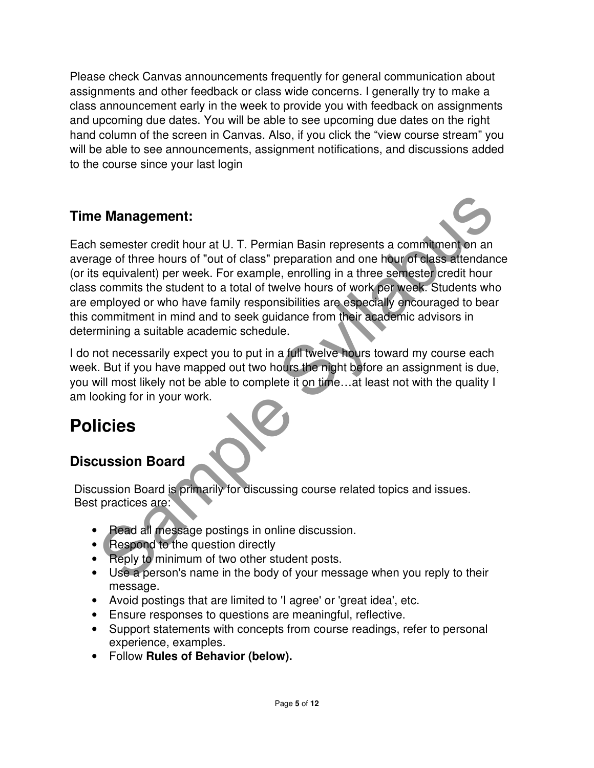Please check Canvas announcements frequently for general communication about assignments and other feedback or class wide concerns. I generally try to make a class announcement early in the week to provide you with feedback on assignments and upcoming due dates. You will be able to see upcoming due dates on the right hand column of the screen in Canvas. Also, if you click the "view course stream" you will be able to see announcements, assignment notifications, and discussions added to the course since your last login

#### **Time Management:**

**Example Proper Syllabuse Controllery** and the syllabuse of the fourth of the hours of "out of class" preparation and one hour of class attendance and one of "out of class" preparation and one hour of class attendance equi Each semester credit hour at U. T. Permian Basin represents a commitment on an average of three hours of "out of class" preparation and one hour of class attendance (or its equivalent) per week. For example, enrolling in a three semester credit hour class commits the student to a total of twelve hours of work per week. Students who are employed or who have family responsibilities are especially encouraged to bear this commitment in mind and to seek guidance from their academic advisors in determining a suitable academic schedule.

I do not necessarily expect you to put in a full twelve hours toward my course each week. But if you have mapped out two hours the night before an assignment is due, you will most likely not be able to complete it on time…at least not with the quality I am looking for in your work.

# **Policies**

#### **Discussion Board**

Discussion Board is primarily for discussing course related topics and issues. Best practices are:

- Read all message postings in online discussion.
- Respond to the question directly
- Reply to minimum of two other student posts.
- Use a person's name in the body of your message when you reply to their message.
- Avoid postings that are limited to 'I agree' or 'great idea', etc.
- Ensure responses to questions are meaningful, reflective.
- Support statements with concepts from course readings, refer to personal experience, examples.
- Follow **Rules of Behavior (below).**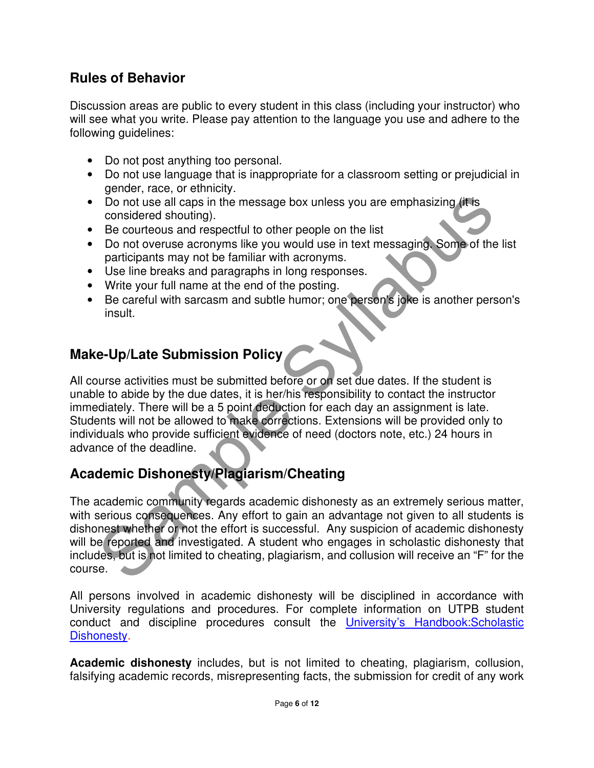#### **Rules of Behavior**

Discussion areas are public to every student in this class (including your instructor) who will see what you write. Please pay attention to the language you use and adhere to the following guidelines:

- Do not post anything too personal.
- Do not use language that is inappropriate for a classroom setting or prejudicial in gender, race, or ethnicity.
- Do not use all caps in the message box unless you are emphasizing (it is considered shouting).
- Be courteous and respectful to other people on the list
- Do not overuse acronyms like you would use in text messaging. Some of the list participants may not be familiar with acronyms.
- Use line breaks and paragraphs in long responses.
- Write your full name at the end of the posting.
- Be careful with sarcasm and subtle humor; one person's joke is another person's insult.

#### **Make-Up/Late Submission Policy**

All course activities must be submitted before or on set due dates. If the student is unable to abide by the due dates, it is her/his responsibility to contact the instructor immediately. There will be a 5 point deduction for each day an assignment is late. Students will not be allowed to make corrections. Extensions will be provided only to individuals who provide sufficient evidence of need (doctors note, etc.) 24 hours in advance of the deadline.

#### **Academic Dishonesty/Plagiarism/Cheating**

Do not use all caps in the message box unless you are emphasizing (it is<br>considered shouting).<br>Be courteous and respectful to other people on the list<br>Do not overuse acronyms like you would use in text messaging. Some of t The academic community regards academic dishonesty as an extremely serious matter, with serious consequences. Any effort to gain an advantage not given to all students is dishonest whether or not the effort is successful. Any suspicion of academic dishonesty will be reported and investigated. A student who engages in scholastic dishonesty that includes, but is not limited to cheating, plagiarism, and collusion will receive an "F" for the course.

All persons involved in academic dishonesty will be disciplined in accordance with University regulations and procedures. For complete information on UTPB student conduct and discipline procedures consult the University's Handbook:Scholastic Dishonesty.

**Academic dishonesty** includes, but is not limited to cheating, plagiarism, collusion, falsifying academic records, misrepresenting facts, the submission for credit of any work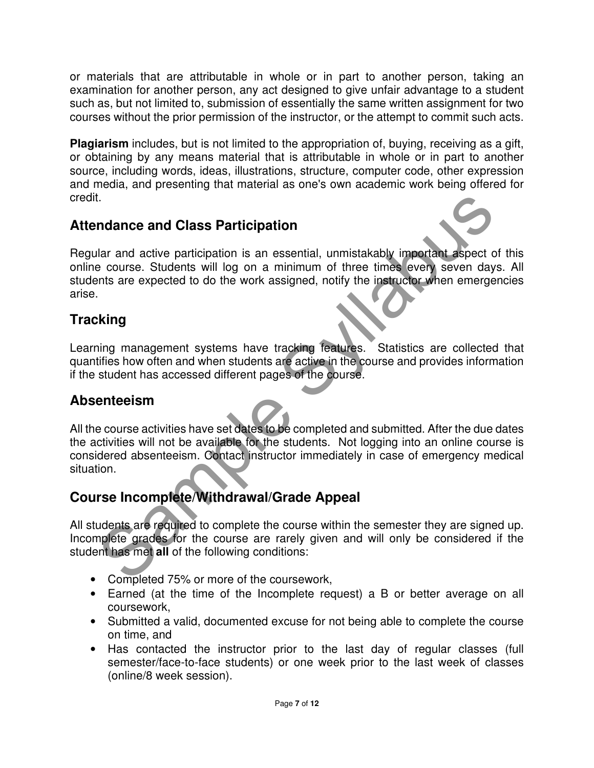or materials that are attributable in whole or in part to another person, taking an examination for another person, any act designed to give unfair advantage to a student such as, but not limited to, submission of essentially the same written assignment for two courses without the prior permission of the instructor, or the attempt to commit such acts.

**Plagiarism** includes, but is not limited to the appropriation of, buying, receiving as a gift, or obtaining by any means material that is attributable in whole or in part to another source, including words, ideas, illustrations, structure, computer code, other expression and media, and presenting that material as one's own academic work being offered for credit.

#### **Attendance and Class Participation**

It.<br>
Indiance and Class Participation<br>
Ilar and active participation is an essential, unmistakably important aspect of<br>
is excellent will log on a minimum of three times every seven days.<br>
Itsing<br>
Sample Sylventer and when Regular and active participation is an essential, unmistakably important aspect of this online course. Students will log on a minimum of three times every seven days. All students are expected to do the work assigned, notify the instructor when emergencies arise.

#### **Tracking**

Learning management systems have tracking features. Statistics are collected that quantifies how often and when students are active in the course and provides information if the student has accessed different pages of the course.

#### **Absenteeism**

All the course activities have set dates to be completed and submitted. After the due dates the activities will not be available for the students. Not logging into an online course is considered absenteeism. Contact instructor immediately in case of emergency medical situation.

#### **Course Incomplete/Withdrawal/Grade Appeal**

All students are required to complete the course within the semester they are signed up. Incomplete grades for the course are rarely given and will only be considered if the student has met **all** of the following conditions:

- Completed 75% or more of the coursework,
- Earned (at the time of the Incomplete request) a B or better average on all coursework,
- Submitted a valid, documented excuse for not being able to complete the course on time, and
- Has contacted the instructor prior to the last day of regular classes (full semester/face-to-face students) or one week prior to the last week of classes (online/8 week session).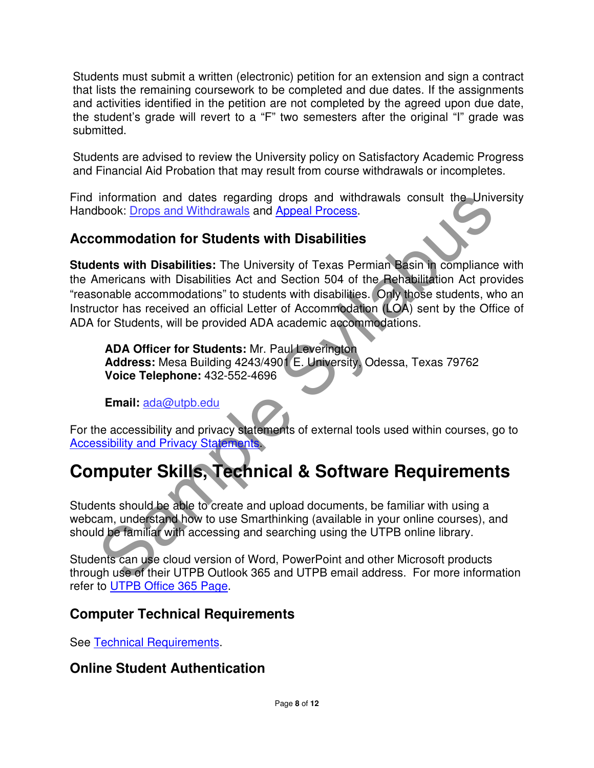Students must submit a written (electronic) petition for an extension and sign a contract that lists the remaining coursework to be completed and due dates. If the assignments and activities identified in the petition are not completed by the agreed upon due date, the student's grade will revert to a "F" two semesters after the original "I" grade was submitted.

Students are advised to review the University policy on Satisfactory Academic Progress and Financial Aid Probation that may result from course withdrawals or incompletes.

Find information and dates regarding drops and withdrawals consult the University Handbook: Drops and Withdrawals and Appeal Process.

#### **Accommodation for Students with Disabilities**

information and dates regarding drops and withdrawals consult the Univer<br>book: <u>Drops and Withdrawals</u> and Appeal Process.<br> **ommodation for Students with Disabilities**<br>
ents with Disabilities Act and Section 504 of the Reh **Students with Disabilities:** The University of Texas Permian Basin in compliance with the Americans with Disabilities Act and Section 504 of the Rehabilitation Act provides "reasonable accommodations" to students with disabilities. Only those students, who an Instructor has received an official Letter of Accommodation (LOA) sent by the Office of ADA for Students, will be provided ADA academic accommodations.

**ADA Officer for Students:** Mr. Paul Leverington **Address:** Mesa Building 4243/4901 E. University, Odessa, Texas 79762 **Voice Telephone:** 432-552-4696

**Email:** ada@utpb.edu

For the accessibility and privacy statements of external tools used within courses, go to Accessibility and Privacy Statements.

# **Computer Skills, Technical & Software Requirements**

Students should be able to create and upload documents, be familiar with using a webcam, understand how to use Smarthinking (available in your online courses), and should be familiar with accessing and searching using the UTPB online library.

Students can use cloud version of Word, PowerPoint and other Microsoft products through use of their UTPB Outlook 365 and UTPB email address. For more information refer to UTPB Office 365 Page.

#### **Computer Technical Requirements**

See Technical Requirements.

#### **Online Student Authentication**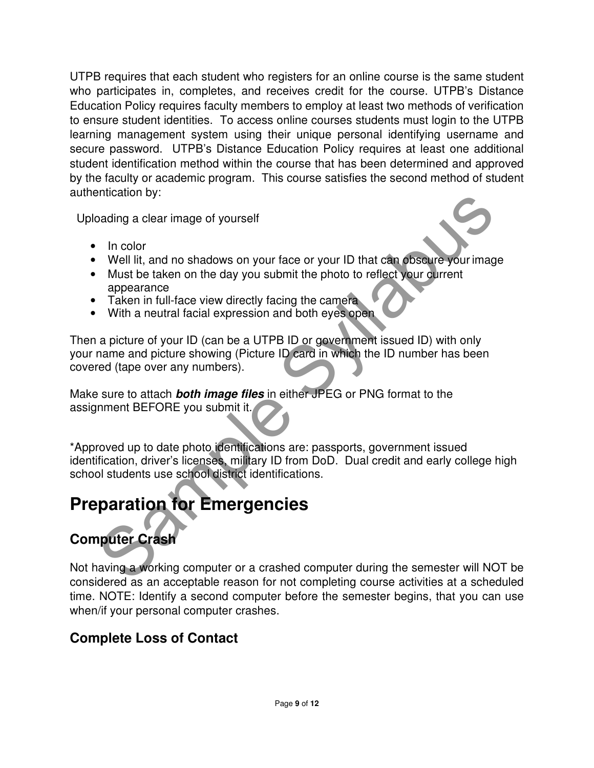UTPB requires that each student who registers for an online course is the same student who participates in, completes, and receives credit for the course. UTPB's Distance Education Policy requires faculty members to employ at least two methods of verification to ensure student identities. To access online courses students must login to the UTPB learning management system using their unique personal identifying username and secure password. UTPB's Distance Education Policy requires at least one additional student identification method within the course that has been determined and approved by the faculty or academic program. This course satisfies the second method of student authentication by:

Uploading a clear image of yourself

- In color
- Well lit, and no shadows on your face or your ID that can obscure your image
- Must be taken on the day you submit the photo to reflect your current appearance
- Taken in full-face view directly facing the camera
- With a neutral facial expression and both eyes open

Then a picture of your ID (can be a UTPB ID or government issued ID) with only your name and picture showing (Picture ID card in which the ID number has been covered (tape over any numbers).

Make sure to attach **both image files** in either JPEG or PNG format to the assignment BEFORE you submit it.

shocknot by:<br>
In color<br>
Well III, and no shadows on your face or your ID that can observe your image<br>
Well III, and no shadows on your submit the photo to reflect your current<br>
appearance<br>
Taken in full-face view directly \*Approved up to date photo identifications are: passports, government issued identification, driver's licenses, military ID from DoD. Dual credit and early college high school students use school district identifications.

# **Preparation for Emergencies**

### **Computer Crash**

Not having a working computer or a crashed computer during the semester will NOT be considered as an acceptable reason for not completing course activities at a scheduled time. NOTE: Identify a second computer before the semester begins, that you can use when/if your personal computer crashes.

#### **Complete Loss of Contact**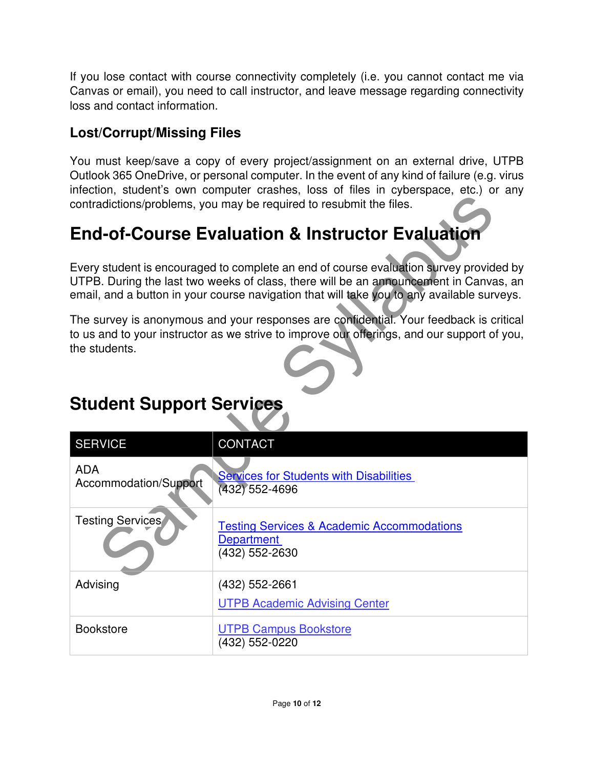If you lose contact with course connectivity completely (i.e. you cannot contact me via Canvas or email), you need to call instructor, and leave message regarding connectivity loss and contact information.

#### **Lost/Corrupt/Missing Files**

You must keep/save a copy of every project/assignment on an external drive, UTPB Outlook 365 OneDrive, or personal computer. In the event of any kind of failure (e.g. virus infection, student's own computer crashes, loss of files in cyberspace, etc.) or any contradictions/problems, you may be required to resubmit the files.

# **End-of-Course Evaluation & Instructor Evaluation**

| contradictions/problems, you may be required to resubmit the files.                                                                                                                                                                                                           |                                                                                              |  |  |  |
|-------------------------------------------------------------------------------------------------------------------------------------------------------------------------------------------------------------------------------------------------------------------------------|----------------------------------------------------------------------------------------------|--|--|--|
| <b>End-of-Course Evaluation &amp; Instructor Evaluation</b>                                                                                                                                                                                                                   |                                                                                              |  |  |  |
| Every student is encouraged to complete an end of course evaluation survey provided by<br>UTPB. During the last two weeks of class, there will be an announcement in Canvas, an<br>email, and a button in your course navigation that will take you to any available surveys. |                                                                                              |  |  |  |
| The survey is anonymous and your responses are confidential. Your feedback is critical<br>to us and to your instructor as we strive to improve our offerings, and our support of you,<br>the students.<br><b>Student Support Services</b>                                     |                                                                                              |  |  |  |
| <b>SERVICE</b>                                                                                                                                                                                                                                                                | CONTACT                                                                                      |  |  |  |
| <b>ADA</b><br>Accommodation/Support                                                                                                                                                                                                                                           | <b>Services for Students with Disabilities</b><br>(432) 552-4696                             |  |  |  |
| Testing Services                                                                                                                                                                                                                                                              | <b>Testing Services &amp; Academic Accommodations</b><br><b>Department</b><br>(432) 552-2630 |  |  |  |
| Advising                                                                                                                                                                                                                                                                      | (432) 552-2661<br><b>UTPB Academic Advising Center</b>                                       |  |  |  |
| <b>Bookstore</b>                                                                                                                                                                                                                                                              | <b>UTPB Campus Bookstore</b><br>(432) 552-0220                                               |  |  |  |

# **Student Support Services**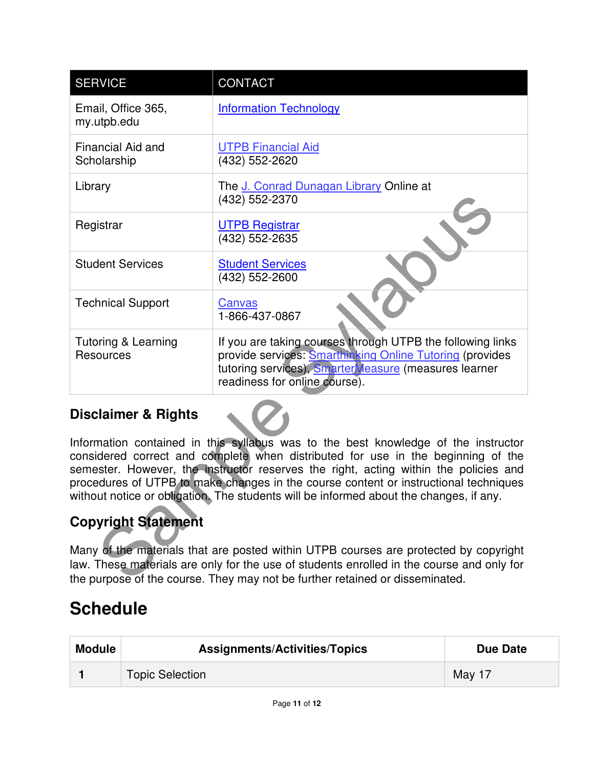| <b>SERVICE</b>                                                                                                                                                                                                                                                                                                                                                                                                                                   | CONTACT                                                                                                                                                                                                                                                           |  |
|--------------------------------------------------------------------------------------------------------------------------------------------------------------------------------------------------------------------------------------------------------------------------------------------------------------------------------------------------------------------------------------------------------------------------------------------------|-------------------------------------------------------------------------------------------------------------------------------------------------------------------------------------------------------------------------------------------------------------------|--|
| Email, Office 365,<br>my.utpb.edu                                                                                                                                                                                                                                                                                                                                                                                                                | <b>Information Technology</b>                                                                                                                                                                                                                                     |  |
| <b>Financial Aid and</b><br>Scholarship                                                                                                                                                                                                                                                                                                                                                                                                          | <b>UTPB Financial Aid</b><br>(432) 552-2620                                                                                                                                                                                                                       |  |
| Library                                                                                                                                                                                                                                                                                                                                                                                                                                          | The J. Conrad Dunagan Library Online at<br>(432) 552-2370                                                                                                                                                                                                         |  |
| Registrar                                                                                                                                                                                                                                                                                                                                                                                                                                        | <b>UTPB Registrar</b><br>(432) 552-2635                                                                                                                                                                                                                           |  |
| <b>Student Services</b>                                                                                                                                                                                                                                                                                                                                                                                                                          | <b>Student Services</b><br>(432) 552-2600                                                                                                                                                                                                                         |  |
| <b>Technical Support</b>                                                                                                                                                                                                                                                                                                                                                                                                                         | Canvas<br>1-866-437-0867                                                                                                                                                                                                                                          |  |
| Tutoring & Learning<br><b>Resources</b>                                                                                                                                                                                                                                                                                                                                                                                                          | If you are taking courses through UTPB the following links<br>provide services: Smarthinking Online Tutoring (provides<br>tutoring services), SmarterMeasure (measures learner<br>readiness for online course).                                                   |  |
| <b>Disclaimer &amp; Rights</b>                                                                                                                                                                                                                                                                                                                                                                                                                   |                                                                                                                                                                                                                                                                   |  |
| Information contained in this syllabus was to the best knowledge of the instructor<br>considered correct and complete when distributed for use in the beginning of the<br>semester. However, the instructor reserves the right, acting within the policies and<br>procedures of UTPB to make changes in the course content or instructional techniques<br>without notice or obligation. The students will be informed about the changes, if any. |                                                                                                                                                                                                                                                                   |  |
| <b>Copyright Statement</b>                                                                                                                                                                                                                                                                                                                                                                                                                       |                                                                                                                                                                                                                                                                   |  |
|                                                                                                                                                                                                                                                                                                                                                                                                                                                  | Many of the materials that are posted within UTPB courses are protected by copyright<br>law. These materials are only for the use of students enrolled in the course and only for<br>the purpose of the course. They may not be further retained or disseminated. |  |

#### **Disclaimer & Rights**

### **Copyright Statement**

Many of the materials that are posted within UTPB courses are protected by copyright law. These materials are only for the use of students enrolled in the course and only for the purpose of the course. They may not be further retained or disseminated.

# **Schedule**

| <b>Module</b> | <b>Assignments/Activities/Topics</b> | Due Date |
|---------------|--------------------------------------|----------|
|               | <b>Topic Selection</b>               | May 17   |